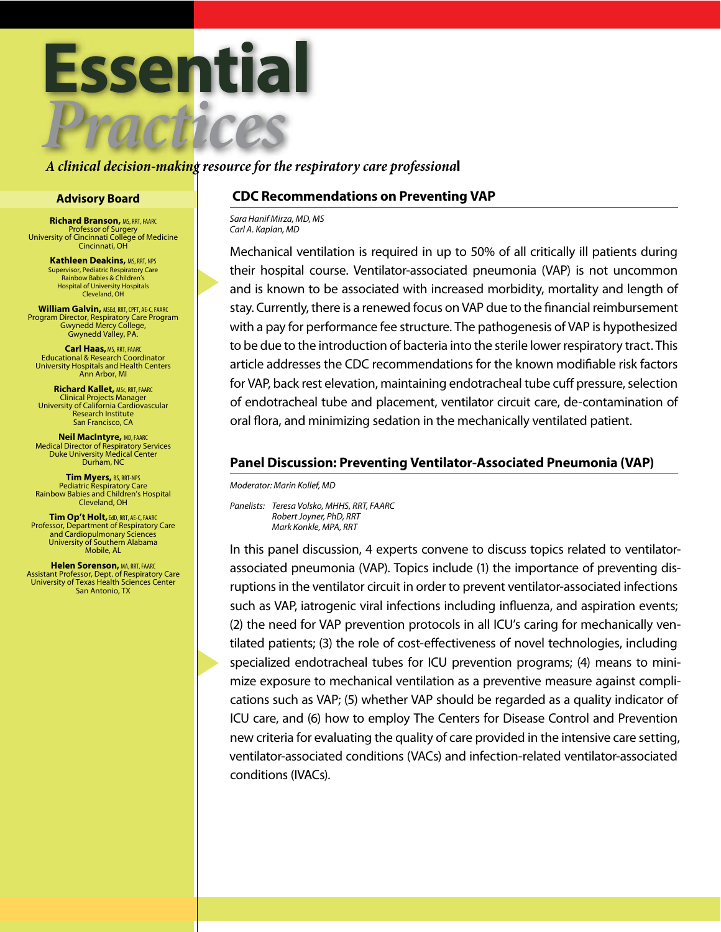

#### *A clinical decision-making resource for the respiratory care professiona*l

**Richard Branson,** MS, RRT, FAARC Professor of Surgery University of Cincinnati College of Medicine Cincinnati, OH

> **Kathleen Deakins, MS, RRT, NPS** Supervisor, Pediatric Respiratory Care Rainbow Babies & Children's Hospital of University Hospitals Cleveland, OH

**William Galvin,** MSEd, RRT, CPFT, AE-C, FAARC Program Director, Respiratory Care Program Gwynedd Mercy College, Gwynedd Valley, PA.

**Carl Haas, MS, RRT, FAARC** Educational & Research Coordinator University Hospitals and Health Centers Ann Arbor, MI

**Richard Kallet,** MSc, RRT, FAARC Clinical Projects Manager University of California Cardiovascular Research Institute San Francisco, CA

**Neil MacIntyre,** MD, FAARC Medical Director of Respiratory Services Duke University Medical Center Durham, NC

**Tim Myers,** BS, RRT-NPS Pediatric Respiratory Care Rainbow Babies and Children's Hospital Cleveland, OH

**Tim Op't Holt,**EdD, RRT, AE-C, FAARC Professor, Department of Respiratory Care and Cardiopulmonary Sciences University of Southern Alabama Mobile, AL

**Helen Sorenson,** MA, RRT, FAARC Assistant Professor, Dept. of Respiratory Care University of Texas Health Sciences Center San Antonio, TX

### **Advisory Board CDC Recommendations on Preventing VAP**

*Sara Hanif Mirza, MD, MS Carl A. Kaplan, MD* 

Mechanical ventilation is required in up to 50% of all critically ill patients during their hospital course. Ventilator-associated pneumonia (VAP) is not uncommon and is known to be associated with increased morbidity, mortality and length of stay. Currently, there is a renewed focus on VAP due to the financial reimbursement with a pay for performance fee structure. The pathogenesis of VAP is hypothesized to be due to the introduction of bacteria into the sterile lower respiratory tract. This article addresses the CDC recommendations for the known modifiable risk factors for VAP, back rest elevation, maintaining endotracheal tube cuff pressure, selection of endotracheal tube and placement, ventilator circuit care, de-contamination of oral flora, and minimizing sedation in the mechanically ventilated patient.

### **Panel Discussion: Preventing Ventilator-Associated Pneumonia (VAP)**

*Moderator: Marin Kollef, MD*

*Panelists: Teresa Volsko, MHHS, RRT, FAARC Robert Joyner, PhD, RRT Mark Konkle, MPA, RRT*

In this panel discussion, 4 experts convene to discuss topics related to ventilatorassociated pneumonia (VAP). Topics include (1) the importance of preventing disruptions in the ventilator circuit in order to prevent ventilator-associated infections such as VAP, iatrogenic viral infections including influenza, and aspiration events; (2) the need for VAP prevention protocols in all ICU's caring for mechanically ventilated patients; (3) the role of cost-effectiveness of novel technologies, including specialized endotracheal tubes for ICU prevention programs; (4) means to minimize exposure to mechanical ventilation as a preventive measure against complications such as VAP; (5) whether VAP should be regarded as a quality indicator of ICU care, and (6) how to employ The Centers for Disease Control and Prevention new criteria for evaluating the quality of care provided in the intensive care setting, ventilator-associated conditions (VACs) and infection-related ventilator-associated conditions (IVACs).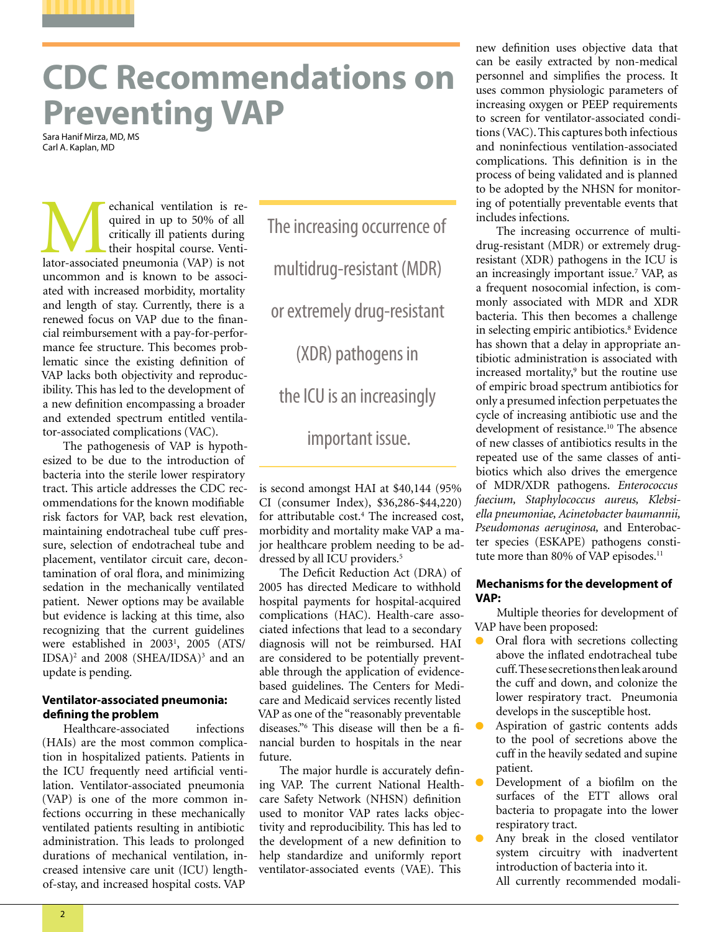# **CDC Recommendations on Preventing VAP**

Sara Hanif Mirza, MD, MS Carl A. Kaplan, MD

echanical ventilation is required in up to 50% of all critically ill patients during their hospital course. Ventilator-associated pneumonia (VAP) is not quired in up to 50% of all critically ill patients during their hospital course. Ventiuncommon and is known to be associated with increased morbidity, mortality and length of stay. Currently, there is a renewed focus on VAP due to the financial reimbursement with a pay-for-performance fee structure. This becomes problematic since the existing definition of VAP lacks both objectivity and reproducibility. This has led to the development of a new definition encompassing a broader and extended spectrum entitled ventilator-associated complications (VAC).

The pathogenesis of VAP is hypothesized to be due to the introduction of bacteria into the sterile lower respiratory tract. This article addresses the CDC recommendations for the known modifiable risk factors for VAP, back rest elevation, maintaining endotracheal tube cuff pressure, selection of endotracheal tube and placement, ventilator circuit care, decontamination of oral flora, and minimizing sedation in the mechanically ventilated patient. Newer options may be available but evidence is lacking at this time, also recognizing that the current guidelines were established in 20031 , 2005 (ATS/ IDSA)<sup>2</sup> and 2008 (SHEA/IDSA)<sup>3</sup> and an update is pending.

#### **Ventilator-associated pneumonia: defining the problem**

Healthcare-associated infections (HAIs) are the most common complication in hospitalized patients. Patients in the ICU frequently need artificial ventilation. Ventilator-associated pneumonia (VAP) is one of the more common infections occurring in these mechanically ventilated patients resulting in antibiotic administration. This leads to prolonged durations of mechanical ventilation, increased intensive care unit (ICU) lengthof-stay, and increased hospital costs. VAP

The increasing occurrence of multidrug-resistant (MDR) or extremely drug-resistant (XDR) pathogens in the ICU is an increasingly important issue.

is second amongst HAI at \$40,144 (95% CI (consumer Index), \$36,286-\$44,220) for attributable cost.<sup>4</sup> The increased cost, morbidity and mortality make VAP a major healthcare problem needing to be addressed by all ICU providers.<sup>5</sup>

The Deficit Reduction Act (DRA) of 2005 has directed Medicare to withhold hospital payments for hospital-acquired complications (HAC). Health-care associated infections that lead to a secondary diagnosis will not be reimbursed. HAI are considered to be potentially preventable through the application of evidencebased guidelines. The Centers for Medicare and Medicaid services recently listed VAP as one of the "reasonably preventable diseases."6 This disease will then be a financial burden to hospitals in the near future.

The major hurdle is accurately defining VAP. The current National Healthcare Safety Network (NHSN) definition used to monitor VAP rates lacks objectivity and reproducibility. This has led to the development of a new definition to help standardize and uniformly report ventilator-associated events (VAE). This

new definition uses objective data that can be easily extracted by non-medical personnel and simplifies the process. It uses common physiologic parameters of increasing oxygen or PEEP requirements to screen for ventilator-associated conditions (VAC). This captures both infectious and noninfectious ventilation-associated complications. This definition is in the process of being validated and is planned to be adopted by the NHSN for monitoring of potentially preventable events that includes infections.

The increasing occurrence of multidrug-resistant (MDR) or extremely drugresistant (XDR) pathogens in the ICU is an increasingly important issue.<sup>7</sup> VAP, as a frequent nosocomial infection, is commonly associated with MDR and XDR bacteria. This then becomes a challenge in selecting empiric antibiotics.<sup>8</sup> Evidence has shown that a delay in appropriate antibiotic administration is associated with increased mortality,<sup>9</sup> but the routine use of empiric broad spectrum antibiotics for only a presumed infection perpetuates the cycle of increasing antibiotic use and the development of resistance.<sup>10</sup> The absence of new classes of antibiotics results in the repeated use of the same classes of antibiotics which also drives the emergence of MDR/XDR pathogens. *Enterococcus faecium, Staphylococcus aureus, Klebsiella pneumoniae, Acinetobacter baumannii, Pseudomonas aeruginosa,* and Enterobacter species (ESKAPE) pathogens constitute more than 80% of VAP episodes.<sup>11</sup>

#### **Mechanisms for the development of VAP:**

Multiple theories for development of VAP have been proposed:

- Oral flora with secretions collecting above the inflated endotracheal tube cuff. These secretions then leak around the cuff and down, and colonize the lower respiratory tract. Pneumonia develops in the susceptible host.
- Aspiration of gastric contents adds to the pool of secretions above the cuff in the heavily sedated and supine patient.
- Development of a biofilm on the surfaces of the ETT allows oral bacteria to propagate into the lower respiratory tract.
- Any break in the closed ventilator system circuitry with inadvertent introduction of bacteria into it. All currently recommended modali-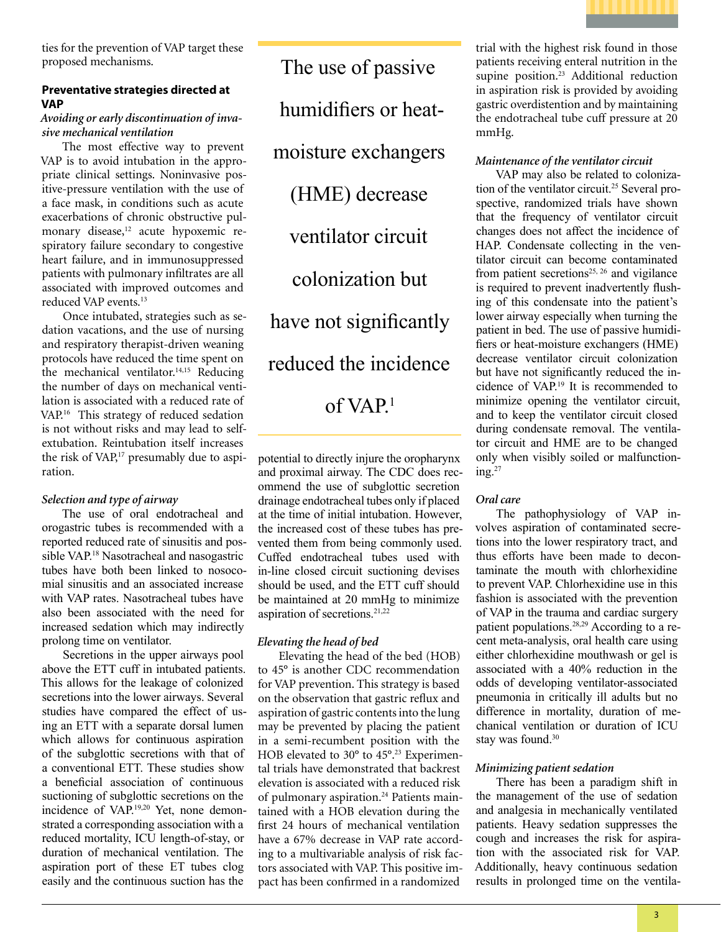

ties for the prevention of VAP target these proposed mechanisms.

#### **Preventative strategies directed at VAP**

#### *Avoiding or early discontinuation of invasive mechanical ventilation*

The most effective way to prevent VAP is to avoid intubation in the appropriate clinical settings. Noninvasive positive-pressure ventilation with the use of a face mask, in conditions such as acute exacerbations of chronic obstructive pulmonary disease,<sup>12</sup> acute hypoxemic respiratory failure secondary to congestive heart failure, and in immunosuppressed patients with pulmonary infiltrates are all associated with improved outcomes and reduced VAP events.13

Once intubated, strategies such as sedation vacations, and the use of nursing and respiratory therapist-driven weaning protocols have reduced the time spent on the mechanical ventilator.<sup>14,15</sup> Reducing the number of days on mechanical ventilation is associated with a reduced rate of VAP.16 This strategy of reduced sedation is not without risks and may lead to selfextubation. Reintubation itself increases the risk of VAP,<sup>17</sup> presumably due to aspiration.

#### *Selection and type of airway*

The use of oral endotracheal and orogastric tubes is recommended with a reported reduced rate of sinusitis and possible VAP.18 Nasotracheal and nasogastric tubes have both been linked to nosocomial sinusitis and an associated increase with VAP rates. Nasotracheal tubes have also been associated with the need for increased sedation which may indirectly prolong time on ventilator.

Secretions in the upper airways pool above the ETT cuff in intubated patients. This allows for the leakage of colonized secretions into the lower airways. Several studies have compared the effect of using an ETT with a separate dorsal lumen which allows for continuous aspiration of the subglottic secretions with that of a conventional ETT. These studies show a beneficial association of continuous suctioning of subglottic secretions on the incidence of VAP.19,20 Yet, none demonstrated a corresponding association with a reduced mortality, ICU length-of-stay, or duration of mechanical ventilation. The aspiration port of these ET tubes clog easily and the continuous suction has the

The use of passive humidifiers or heatmoisture exchangers (HME) decrease ventilator circuit colonization but have not significantly reduced the incidence of VAP.1

potential to directly injure the oropharynx and proximal airway. The CDC does recommend the use of subglottic secretion drainage endotracheal tubes only if placed at the time of initial intubation. However, the increased cost of these tubes has prevented them from being commonly used. Cuffed endotracheal tubes used with in-line closed circuit suctioning devises should be used, and the ETT cuff should be maintained at 20 mmHg to minimize aspiration of secretions.<sup>21,22</sup>

#### *Elevating the head of bed*

Elevating the head of the bed (HOB) to 45° is another CDC recommendation for VAP prevention. This strategy is based on the observation that gastric reflux and aspiration of gastric contents into the lung may be prevented by placing the patient in a semi-recumbent position with the HOB elevated to 30° to 45°.23 Experimental trials have demonstrated that backrest elevation is associated with a reduced risk of pulmonary aspiration.<sup>24</sup> Patients maintained with a HOB elevation during the first 24 hours of mechanical ventilation have a 67% decrease in VAP rate according to a multivariable analysis of risk factors associated with VAP. This positive impact has been confirmed in a randomized

trial with the highest risk found in those patients receiving enteral nutrition in the supine position.23 Additional reduction in aspiration risk is provided by avoiding gastric overdistention and by maintaining the endotracheal tube cuff pressure at 20 mmHg.

#### *Maintenance of the ventilator circuit*

VAP may also be related to colonization of the ventilator circuit.25 Several prospective, randomized trials have shown that the frequency of ventilator circuit changes does not affect the incidence of HAP. Condensate collecting in the ventilator circuit can become contaminated from patient secretions<sup>25, 26</sup> and vigilance is required to prevent inadvertently flushing of this condensate into the patient's lower airway especially when turning the patient in bed. The use of passive humidifiers or heat-moisture exchangers (HME) decrease ventilator circuit colonization but have not significantly reduced the incidence of VAP.19 It is recommended to minimize opening the ventilator circuit, and to keep the ventilator circuit closed during condensate removal. The ventilator circuit and HME are to be changed only when visibly soiled or malfunctioning. $27$ 

#### *Oral care*

The pathophysiology of VAP involves aspiration of contaminated secretions into the lower respiratory tract, and thus efforts have been made to decontaminate the mouth with chlorhexidine to prevent VAP. Chlorhexidine use in this fashion is associated with the prevention of VAP in the trauma and cardiac surgery patient populations.28,29 According to a recent meta-analysis, oral health care using either chlorhexidine mouthwash or gel is associated with a 40% reduction in the odds of developing ventilator-associated pneumonia in critically ill adults but no difference in mortality, duration of mechanical ventilation or duration of ICU stay was found.<sup>30</sup>

#### *Minimizing patient sedation*

There has been a paradigm shift in the management of the use of sedation and analgesia in mechanically ventilated patients. Heavy sedation suppresses the cough and increases the risk for aspiration with the associated risk for VAP. Additionally, heavy continuous sedation results in prolonged time on the ventila-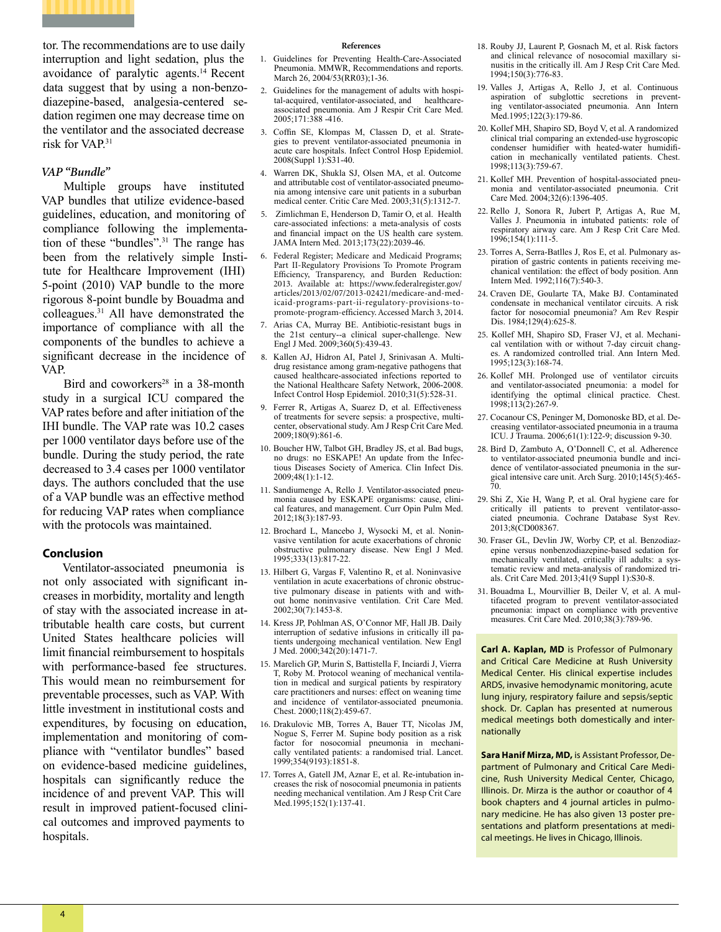

tor. The recommendations are to use daily interruption and light sedation, plus the avoidance of paralytic agents.14 Recent data suggest that by using a non-benzodiazepine-based, analgesia-centered sedation regimen one may decrease time on the ventilator and the associated decrease risk for VAP.<sup>31</sup>

#### *VAP "Bundle"*

Multiple groups have instituted VAP bundles that utilize evidence-based guidelines, education, and monitoring of compliance following the implementation of these "bundles".<sup>31</sup> The range has been from the relatively simple Institute for Healthcare Improvement (IHI) 5-point (2010) VAP bundle to the more rigorous 8-point bundle by Bouadma and colleagues.31 All have demonstrated the importance of compliance with all the components of the bundles to achieve a significant decrease in the incidence of VAP.

Bird and coworkers<sup>28</sup> in a 38-month study in a surgical ICU compared the VAP rates before and after initiation of the IHI bundle. The VAP rate was 10.2 cases per 1000 ventilator days before use of the bundle. During the study period, the rate decreased to 3.4 cases per 1000 ventilator days. The authors concluded that the use of a VAP bundle was an effective method for reducing VAP rates when compliance with the protocols was maintained.

#### **Conclusion**

Ventilator-associated pneumonia is not only associated with significant increases in morbidity, mortality and length of stay with the associated increase in attributable health care costs, but current United States healthcare policies will limit financial reimbursement to hospitals with performance-based fee structures. This would mean no reimbursement for preventable processes, such as VAP. With little investment in institutional costs and expenditures, by focusing on education, implementation and monitoring of compliance with "ventilator bundles" based on evidence-based medicine guidelines, hospitals can significantly reduce the incidence of and prevent VAP. This will result in improved patient-focused clinical outcomes and improved payments to hospitals.

#### **References**

- 1. Guidelines for Preventing Health-Care-Associated Pneumonia. MMWR, Recommendations and reports. March 26, 2004/53(RR03);1-36.
- 2. Guidelines for the management of adults with hospital-acquired, ventilator-associated, and healthcareassociated pneumonia. Am J Respir Crit Care Med. 2005;171:388 -416.
- 3. Coffin SE, Klompas M, Classen D, et al. Strategies to prevent ventilator-associated pneumonia in acute care hospitals. Infect Control Hosp Epidemiol. 2008(Suppl 1):S31-40.
- 4. Warren DK, Shukla SJ, Olsen MA, et al. Outcome and attributable cost of ventilator-associated pneumonia among intensive care unit patients in a suburban medical center. Critic Care Med. 2003;31(5):1312-7.
- 5. Zimlichman E, Henderson D, Tamir O, et al. Health care-associated infections: a meta-analysis of costs and financial impact on the US health care system. JAMA Intern Med. 2013;173(22):2039-46.
- 6. Federal Register; Medicare and Medicaid Programs; Part II-Regulatory Provisions To Promote Program Efficiency, Transparency, and Burden Reduction: 2013. Available at: https://www.federalregister.gov/ articles/2013/02/07/2013-02421/medicare-and-medicaid-programs-part-ii-regulatory-provisions-topromote-program-efficiency. Accessed March 3, 2014.
- 7. Arias CA, Murray BE. Antibiotic-resistant bugs in the 21st century--a clinical super-challenge. New Engl J Med. 2009;360(5):439-43.
- 8. Kallen AJ, Hidron AI, Patel J, Srinivasan A. Multidrug resistance among gram-negative pathogens that caused healthcare-associated infections reported to the National Healthcare Safety Network, 2006-2008. Infect Control Hosp Epidemiol. 2010;31(5):528-31.
- 9. Ferrer R, Artigas A, Suarez D, et al. Effectiveness of treatments for severe sepsis: a prospective, multicenter, observational study. Am J Resp Crit Care Med. 2009;180(9):861-6.
- 10. Boucher HW, Talbot GH, Bradley JS, et al. Bad bugs, no drugs: no ESKAPE! An update from the Infectious Diseases Society of America. Clin Infect Dis. 2009;48(1):1-12.
- 11. Sandiumenge A, Rello J. Ventilator-associated pneumonia caused by ESKAPE organisms: cause, clinical features, and management. Curr Opin Pulm Med. 2012;18(3):187-93.
- 12. Brochard L, Mancebo J, Wysocki M, et al. Noninvasive ventilation for acute exacerbations of chronic obstructive pulmonary disease. New Engl J Med. 1995;333(13):817-22.
- 13. Hilbert G, Vargas F, Valentino R, et al. Noninvasive ventilation in acute exacerbations of chronic obstructive pulmonary disease in patients with and without home noninvasive ventilation. Crit Care Med. 2002;30(7):1453-8.
- 14. Kress JP, Pohlman AS, O'Connor MF, Hall JB. Daily interruption of sedative infusions in critically ill patients undergoing mechanical ventilation. New Engl J Med. 2000;342(20):1471-7.
- 15. Marelich GP, Murin S, Battistella F, Inciardi J, Vierra T, Roby M. Protocol weaning of mechanical ventilation in medical and surgical patients by respiratory care practitioners and nurses: effect on weaning time and incidence of ventilator-associated pneumonia. Chest. 2000;118(2):459-67.
- 16. Drakulovic MB, Torres A, Bauer TT, Nicolas JM, Nogue S, Ferrer M. Supine body position as a risk factor for nosocomial pneumonia in mechanically ventilated patients: a randomised trial. Lancet. 1999;354(9193):1851-8.
- 17. Torres A, Gatell JM, Aznar E, et al. Re-intubation increases the risk of nosocomial pneumonia in patients needing mechanical ventilation. Am J Resp Crit Care Med.1995;152(1):137-41.
- 18. Rouby JJ, Laurent P, Gosnach M, et al. Risk factors and clinical relevance of nosocomial maxillary sinusitis in the critically ill. Am J Resp Crit Care Med. 1994;150(3):776-83.
- 19. Valles J, Artigas A, Rello J, et al. Continuous aspiration of subglottic secretions in preventing ventilator-associated pneumonia. Ann Intern Med.1995;122(3):179-86.
- 20. Kollef MH, Shapiro SD, Boyd V, et al. A randomized clinical trial comparing an extended-use hygroscopic condenser humidifier with heated-water humidification in mechanically ventilated patients. Chest. 1998;113(3):759-67.
- 21. Kollef MH. Prevention of hospital-associated pneumonia and ventilator-associated pneumonia. Crit Care Med. 2004;32(6):1396-405.
- 22. Rello J, Sonora R, Jubert P, Artigas A, Rue M, Valles J. Pneumonia in intubated patients: role of respiratory airway care. Am J Resp Crit Care Med. 1996;154(1):111-5.
- 23. Torres A, Serra-Batlles J, Ros E, et al. Pulmonary aspiration of gastric contents in patients receiving mechanical ventilation: the effect of body position. Ann Intern Med. 1992;116(7):540-3.
- 24. Craven DE, Goularte TA, Make BJ. Contaminated condensate in mechanical ventilator circuits. A risk factor for nosocomial pneumonia? Am Rev Respir Dis. 1984;129(4):625-8.
- 25. Kollef MH, Shapiro SD, Fraser VJ, et al. Mechanical ventilation with or without 7-day circuit changes. A randomized controlled trial. Ann Intern Med. 1995;123(3):168-74.
- 26. Kollef MH. Prolonged use of ventilator circuits and ventilator-associated pneumonia: a model for identifying the optimal clinical practice. Chest. 1998;113(2):267-9.
- 27. Cocanour CS, Peninger M, Domonoske BD, et al. Decreasing ventilator-associated pneumonia in a trauma ICU. J Trauma. 2006;61(1):122-9; discussion 9-30.
- 28. Bird D, Zambuto A, O'Donnell C, et al. Adherence to ventilator-associated pneumonia bundle and incidence of ventilator-associated pneumonia in the surgical intensive care unit. Arch Surg. 2010;145(5):465- 70.
- 29. Shi Z, Xie H, Wang P, et al. Oral hygiene care for critically ill patients to prevent ventilator-associated pneumonia. Cochrane Database Syst Rev. 2013;8(CD008367.
- 30. Fraser GL, Devlin JW, Worby CP, et al. Benzodiazepine versus nonbenzodiazepine-based sedation for mechanically ventilated, critically ill adults: a systematic review and meta-analysis of randomized trials. Crit Care Med. 2013;41(9 Suppl 1):S30-8.
- 31. Bouadma L, Mourvillier B, Deiler V, et al. A multifaceted program to prevent ventilator-associated pneumonia: impact on compliance with preventive measures. Crit Care Med. 2010;38(3):789-96.

**Carl A. Kaplan, MD** is Professor of Pulmonary and Critical Care Medicine at Rush University Medical Center. His clinical expertise includes ARDS, invasive hemodynamic monitoring, acute lung injury, respiratory failure and sepsis/septic shock. Dr. Caplan has presented at numerous medical meetings both domestically and internationally

**Sara Hanif Mirza, MD,** is Assistant Professor, Department of Pulmonary and Critical Care Medicine, Rush University Medical Center, Chicago, Illinois. Dr. Mirza is the author or coauthor of 4 book chapters and 4 journal articles in pulmonary medicine. He has also given 13 poster presentations and platform presentations at medical meetings. He lives in Chicago, Illinois.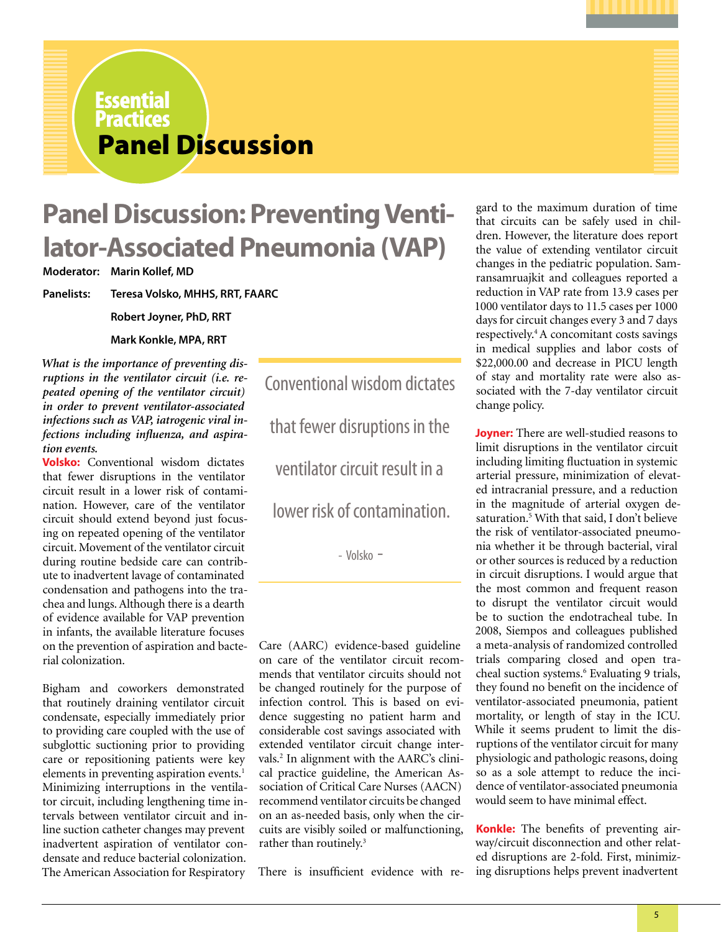**Essential** 

## Panel Discussion **Practices**

## **Panel Discussion: Preventing Ventilator-Associated Pneumonia (VAP)**

**Moderator: Marin Kollef, MD**

**Panelists: Teresa Volsko, MHHS, RRT, FAARC**

**Robert Joyner, PhD, RRT**

**Mark Konkle, MPA, RRT**

*What is the importance of preventing disruptions in the ventilator circuit (i.e. repeated opening of the ventilator circuit) in order to prevent ventilator-associated infections such as VAP, iatrogenic viral infections including influenza, and aspiration events.*

**Volsko:** Conventional wisdom dictates that fewer disruptions in the ventilator circuit result in a lower risk of contamination. However, care of the ventilator circuit should extend beyond just focusing on repeated opening of the ventilator circuit. Movement of the ventilator circuit during routine bedside care can contribute to inadvertent lavage of contaminated condensation and pathogens into the trachea and lungs. Although there is a dearth of evidence available for VAP prevention in infants, the available literature focuses on the prevention of aspiration and bacterial colonization.

Bigham and coworkers demonstrated that routinely draining ventilator circuit condensate, especially immediately prior to providing care coupled with the use of subglottic suctioning prior to providing care or repositioning patients were key elements in preventing aspiration events.<sup>1</sup> Minimizing interruptions in the ventilator circuit, including lengthening time intervals between ventilator circuit and inline suction catheter changes may prevent inadvertent aspiration of ventilator condensate and reduce bacterial colonization. The American Association for Respiratory

Conventional wisdom dictates that fewer disruptions in the ventilator circuit result in a lower risk of contamination.

- Volsko -

Care (AARC) evidence-based guideline on care of the ventilator circuit recommends that ventilator circuits should not be changed routinely for the purpose of infection control. This is based on evidence suggesting no patient harm and considerable cost savings associated with extended ventilator circuit change intervals.2 In alignment with the AARC's clinical practice guideline, the American Association of Critical Care Nurses (AACN) recommend ventilator circuits be changed on an as-needed basis, only when the circuits are visibly soiled or malfunctioning, rather than routinely.<sup>3</sup>

There is insufficient evidence with re-

gard to the maximum duration of time that circuits can be safely used in children. However, the literature does report the value of extending ventilator circuit changes in the pediatric population. Samransamruajkit and colleagues reported a reduction in VAP rate from 13.9 cases per 1000 ventilator days to 11.5 cases per 1000 days for circuit changes every 3 and 7 days respectively.4 A concomitant costs savings in medical supplies and labor costs of \$22,000.00 and decrease in PICU length of stay and mortality rate were also associated with the 7-day ventilator circuit change policy.

**Joyner:** There are well-studied reasons to limit disruptions in the ventilator circuit including limiting fluctuation in systemic arterial pressure, minimization of elevated intracranial pressure, and a reduction in the magnitude of arterial oxygen desaturation.<sup>5</sup> With that said, I don't believe the risk of ventilator-associated pneumonia whether it be through bacterial, viral or other sources is reduced by a reduction in circuit disruptions. I would argue that the most common and frequent reason to disrupt the ventilator circuit would be to suction the endotracheal tube. In 2008, Siempos and colleagues published a meta-analysis of randomized controlled trials comparing closed and open tracheal suction systems.<sup>6</sup> Evaluating 9 trials, they found no benefit on the incidence of ventilator-associated pneumonia, patient mortality, or length of stay in the ICU. While it seems prudent to limit the disruptions of the ventilator circuit for many physiologic and pathologic reasons, doing so as a sole attempt to reduce the incidence of ventilator-associated pneumonia would seem to have minimal effect.

**Konkle:** The benefits of preventing airway/circuit disconnection and other related disruptions are 2-fold. First, minimizing disruptions helps prevent inadvertent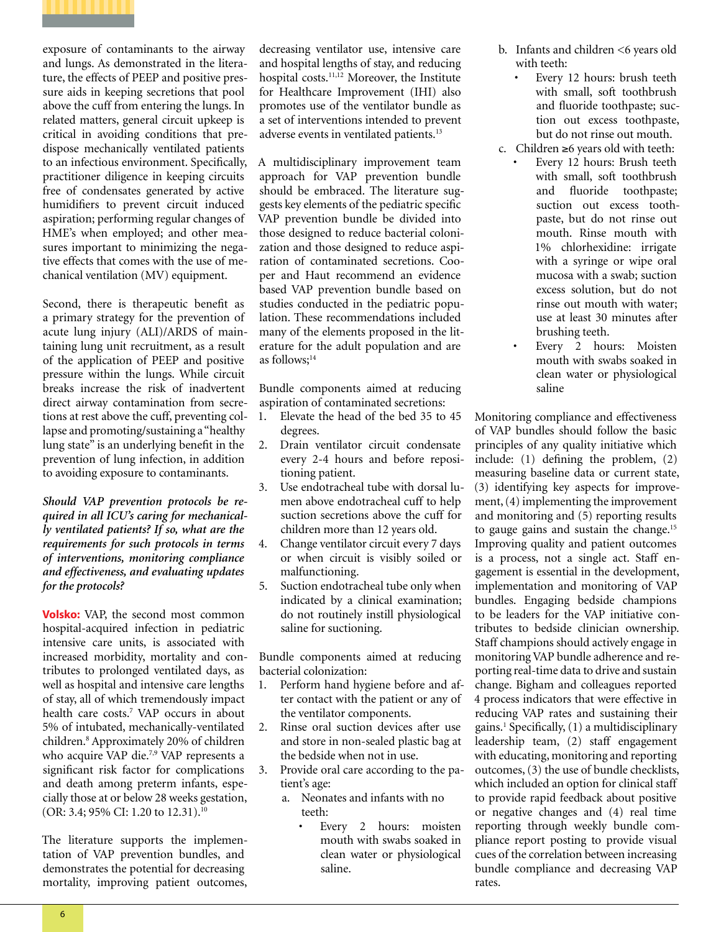

exposure of contaminants to the airway and lungs. As demonstrated in the literature, the effects of PEEP and positive pressure aids in keeping secretions that pool above the cuff from entering the lungs. In related matters, general circuit upkeep is critical in avoiding conditions that predispose mechanically ventilated patients to an infectious environment. Specifically, practitioner diligence in keeping circuits free of condensates generated by active humidifiers to prevent circuit induced aspiration; performing regular changes of HME's when employed; and other measures important to minimizing the negative effects that comes with the use of mechanical ventilation (MV) equipment.

Second, there is therapeutic benefit as a primary strategy for the prevention of acute lung injury (ALI)/ARDS of maintaining lung unit recruitment, as a result of the application of PEEP and positive pressure within the lungs. While circuit breaks increase the risk of inadvertent direct airway contamination from secretions at rest above the cuff, preventing collapse and promoting/sustaining a "healthy lung state" is an underlying benefit in the prevention of lung infection, in addition to avoiding exposure to contaminants.

*Should VAP prevention protocols be required in all ICU's caring for mechanically ventilated patients? If so, what are the requirements for such protocols in terms of interventions, monitoring compliance and effectiveness, and evaluating updates for the protocols?*

**Volsko:** VAP, the second most common hospital-acquired infection in pediatric intensive care units, is associated with increased morbidity, mortality and contributes to prolonged ventilated days, as well as hospital and intensive care lengths of stay, all of which tremendously impact health care costs.7 VAP occurs in about 5% of intubated, mechanically-ventilated children.8 Approximately 20% of children who acquire VAP die.<sup>7,9</sup> VAP represents a significant risk factor for complications and death among preterm infants, especially those at or below 28 weeks gestation, (OR: 3.4; 95% CI: 1.20 to 12.31).<sup>10</sup>

The literature supports the implementation of VAP prevention bundles, and demonstrates the potential for decreasing mortality, improving patient outcomes,

decreasing ventilator use, intensive care and hospital lengths of stay, and reducing hospital costs.11,12 Moreover, the Institute for Healthcare Improvement (IHI) also promotes use of the ventilator bundle as a set of interventions intended to prevent adverse events in ventilated patients.13

A multidisciplinary improvement team approach for VAP prevention bundle should be embraced. The literature suggests key elements of the pediatric specific VAP prevention bundle be divided into those designed to reduce bacterial colonization and those designed to reduce aspiration of contaminated secretions. Cooper and Haut recommend an evidence based VAP prevention bundle based on studies conducted in the pediatric population. These recommendations included many of the elements proposed in the literature for the adult population and are as follows;<sup>14</sup>

Bundle components aimed at reducing aspiration of contaminated secretions:

- 1. Elevate the head of the bed 35 to 45 degrees.
- 2. Drain ventilator circuit condensate every 2-4 hours and before repositioning patient.
- 3. Use endotracheal tube with dorsal lumen above endotracheal cuff to help suction secretions above the cuff for children more than 12 years old.
- 4. Change ventilator circuit every 7 days or when circuit is visibly soiled or malfunctioning.
- 5. Suction endotracheal tube only when indicated by a clinical examination; do not routinely instill physiological saline for suctioning.

Bundle components aimed at reducing bacterial colonization:

- 1. Perform hand hygiene before and after contact with the patient or any of the ventilator components.
- 2. Rinse oral suction devices after use and store in non-sealed plastic bag at the bedside when not in use.
- 3. Provide oral care according to the patient's age:
	- a. Neonates and infants with no teeth:
		- Every 2 hours: moisten mouth with swabs soaked in clean water or physiological saline.
- b. Infants and children <6 years old with teeth:
	- Every 12 hours: brush teeth with small, soft toothbrush and fluoride toothpaste; suction out excess toothpaste, but do not rinse out mouth.
- c. Children ≥6 years old with teeth:
	- Every 12 hours: Brush teeth with small, soft toothbrush and fluoride toothpaste; suction out excess toothpaste, but do not rinse out mouth. Rinse mouth with 1% chlorhexidine: irrigate with a syringe or wipe oral mucosa with a swab; suction excess solution, but do not rinse out mouth with water; use at least 30 minutes after brushing teeth.
	- Every 2 hours: Moisten mouth with swabs soaked in clean water or physiological saline

Monitoring compliance and effectiveness of VAP bundles should follow the basic principles of any quality initiative which include: (1) defining the problem, (2) measuring baseline data or current state, (3) identifying key aspects for improvement, (4) implementing the improvement and monitoring and (5) reporting results to gauge gains and sustain the change.<sup>15</sup> Improving quality and patient outcomes is a process, not a single act. Staff engagement is essential in the development, implementation and monitoring of VAP bundles. Engaging bedside champions to be leaders for the VAP initiative contributes to bedside clinician ownership. Staff champions should actively engage in monitoring VAP bundle adherence and reporting real-time data to drive and sustain change. Bigham and colleagues reported 4 process indicators that were effective in reducing VAP rates and sustaining their gains.1 Specifically, (1) a multidisciplinary leadership team, (2) staff engagement with educating, monitoring and reporting outcomes, (3) the use of bundle checklists, which included an option for clinical staff to provide rapid feedback about positive or negative changes and (4) real time reporting through weekly bundle compliance report posting to provide visual cues of the correlation between increasing bundle compliance and decreasing VAP rates.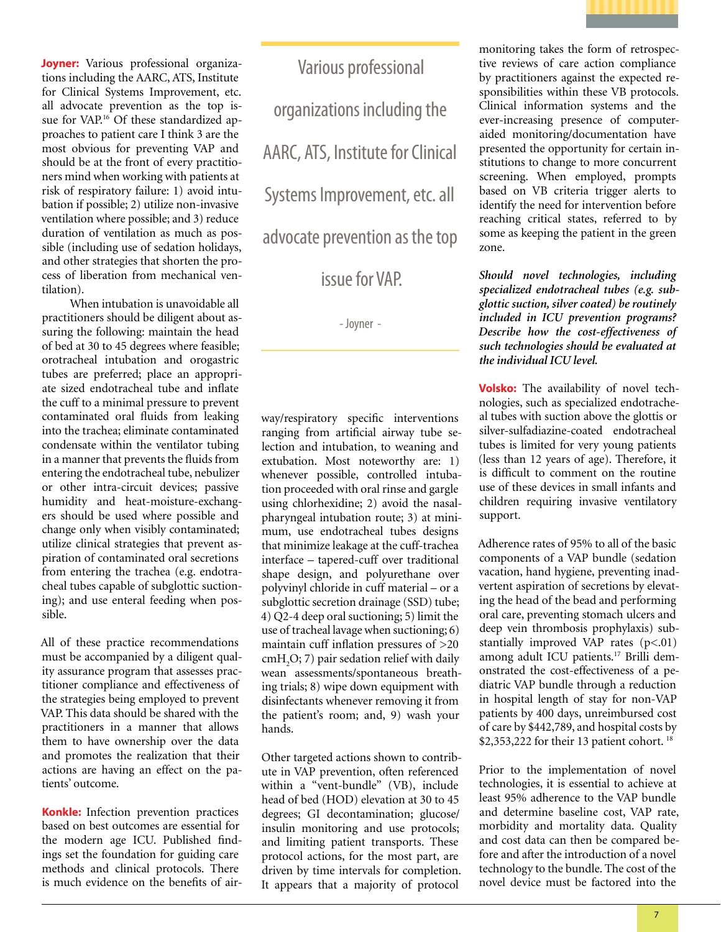

**Joyner:** Various professional organizations including the AARC, ATS, Institute for Clinical Systems Improvement, etc. all advocate prevention as the top issue for VAP.<sup>16</sup> Of these standardized approaches to patient care I think 3 are the most obvious for preventing VAP and should be at the front of every practitioners mind when working with patients at risk of respiratory failure: 1) avoid intubation if possible; 2) utilize non-invasive ventilation where possible; and 3) reduce duration of ventilation as much as possible (including use of sedation holidays, and other strategies that shorten the process of liberation from mechanical ventilation).

When intubation is unavoidable all practitioners should be diligent about assuring the following: maintain the head of bed at 30 to 45 degrees where feasible; orotracheal intubation and orogastric tubes are preferred; place an appropriate sized endotracheal tube and inflate the cuff to a minimal pressure to prevent contaminated oral fluids from leaking into the trachea; eliminate contaminated condensate within the ventilator tubing in a manner that prevents the fluids from entering the endotracheal tube, nebulizer or other intra-circuit devices; passive humidity and heat-moisture-exchangers should be used where possible and change only when visibly contaminated; utilize clinical strategies that prevent aspiration of contaminated oral secretions from entering the trachea (e.g. endotracheal tubes capable of subglottic suctioning); and use enteral feeding when possible.

All of these practice recommendations must be accompanied by a diligent quality assurance program that assesses practitioner compliance and effectiveness of the strategies being employed to prevent VAP. This data should be shared with the practitioners in a manner that allows them to have ownership over the data and promotes the realization that their actions are having an effect on the patients' outcome.

**Konkle:** Infection prevention practices based on best outcomes are essential for the modern age ICU. Published findings set the foundation for guiding care methods and clinical protocols. There is much evidence on the benefits of air-

 Various professional organizations including the AARC, ATS, Institute for Clinical Systems Improvement, etc. all advocate prevention as the top

issue for VAP.

- Joyner -

way/respiratory specific interventions ranging from artificial airway tube selection and intubation, to weaning and extubation. Most noteworthy are: 1) whenever possible, controlled intubation proceeded with oral rinse and gargle using chlorhexidine; 2) avoid the nasalpharyngeal intubation route; 3) at minimum, use endotracheal tubes designs that minimize leakage at the cuff-trachea interface – tapered-cuff over traditional shape design, and polyurethane over polyvinyl chloride in cuff material – or a subglottic secretion drainage (SSD) tube; 4) Q2-4 deep oral suctioning; 5) limit the use of tracheal lavage when suctioning; 6) maintain cuff inflation pressures of >20 cmH<sub>2</sub>O; 7) pair sedation relief with daily wean assessments/spontaneous breathing trials; 8) wipe down equipment with disinfectants whenever removing it from the patient's room; and, 9) wash your hands.

Other targeted actions shown to contribute in VAP prevention, often referenced within a "vent-bundle" (VB), include head of bed (HOD) elevation at 30 to 45 degrees; GI decontamination; glucose/ insulin monitoring and use protocols; and limiting patient transports. These protocol actions, for the most part, are driven by time intervals for completion. It appears that a majority of protocol

monitoring takes the form of retrospective reviews of care action compliance by practitioners against the expected responsibilities within these VB protocols. Clinical information systems and the ever-increasing presence of computeraided monitoring/documentation have presented the opportunity for certain institutions to change to more concurrent screening. When employed, prompts based on VB criteria trigger alerts to identify the need for intervention before reaching critical states, referred to by some as keeping the patient in the green zone.

*Should novel technologies, including specialized endotracheal tubes (e.g. subglottic suction, silver coated) be routinely included in ICU prevention programs? Describe how the cost-effectiveness of such technologies should be evaluated at the individual ICU level.* 

**Volsko:** The availability of novel technologies, such as specialized endotracheal tubes with suction above the glottis or silver-sulfadiazine-coated endotracheal tubes is limited for very young patients (less than 12 years of age). Therefore, it is difficult to comment on the routine use of these devices in small infants and children requiring invasive ventilatory support.

Adherence rates of 95% to all of the basic components of a VAP bundle (sedation vacation, hand hygiene, preventing inadvertent aspiration of secretions by elevating the head of the bead and performing oral care, preventing stomach ulcers and deep vein thrombosis prophylaxis) substantially improved VAP rates  $(p<.01)$ among adult ICU patients.17 Brilli demonstrated the cost-effectiveness of a pediatric VAP bundle through a reduction in hospital length of stay for non-VAP patients by 400 days, unreimbursed cost of care by \$442,789, and hospital costs by \$2,353,222 for their 13 patient cohort. 18

Prior to the implementation of novel technologies, it is essential to achieve at least 95% adherence to the VAP bundle and determine baseline cost, VAP rate, morbidity and mortality data. Quality and cost data can then be compared before and after the introduction of a novel technology to the bundle. The cost of the novel device must be factored into the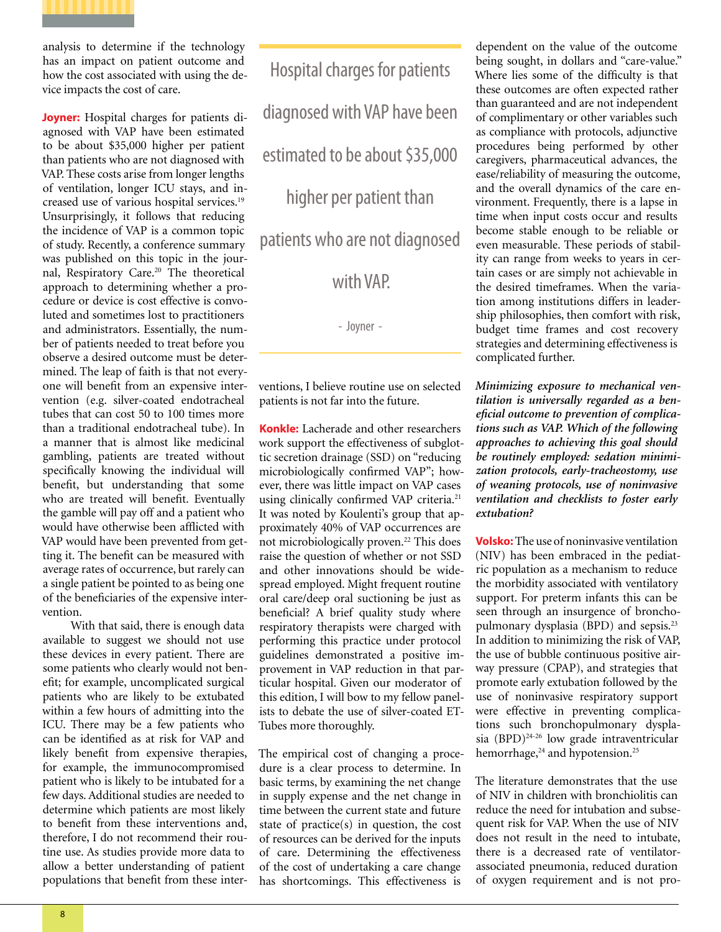

analysis to determine if the technology has an impact on patient outcome and how the cost associated with using the device impacts the cost of care.

**Joyner:** Hospital charges for patients diagnosed with VAP have been estimated to be about \$35,000 higher per patient than patients who are not diagnosed with VAP. These costs arise from longer lengths of ventilation, longer ICU stays, and increased use of various hospital services.19 Unsurprisingly, it follows that reducing the incidence of VAP is a common topic of study. Recently, a conference summary was published on this topic in the journal, Respiratory Care.20 The theoretical approach to determining whether a procedure or device is cost effective is convoluted and sometimes lost to practitioners and administrators. Essentially, the number of patients needed to treat before you observe a desired outcome must be determined. The leap of faith is that not everyone will benefit from an expensive intervention (e.g. silver-coated endotracheal tubes that can cost 50 to 100 times more than a traditional endotracheal tube). In a manner that is almost like medicinal gambling, patients are treated without specifically knowing the individual will benefit, but understanding that some who are treated will benefit. Eventually the gamble will pay off and a patient who would have otherwise been afflicted with VAP would have been prevented from getting it. The benefit can be measured with average rates of occurrence, but rarely can a single patient be pointed to as being one of the beneficiaries of the expensive intervention.

With that said, there is enough data available to suggest we should not use these devices in every patient. There are some patients who clearly would not benefit; for example, uncomplicated surgical patients who are likely to be extubated within a few hours of admitting into the ICU. There may be a few patients who can be identified as at risk for VAP and likely benefit from expensive therapies, for example, the immunocompromised patient who is likely to be intubated for a few days. Additional studies are needed to determine which patients are most likely to benefit from these interventions and, therefore, I do not recommend their routine use. As studies provide more data to allow a better understanding of patient populations that benefit from these inter-

Hospital charges for patients diagnosed with VAP have been estimated to be about \$35,000 higher per patient than patients who are not diagnosed with VAP.

- Joyner -

ventions, I believe routine use on selected patients is not far into the future.

**Konkle:** Lacherade and other researchers work support the effectiveness of subglottic secretion drainage (SSD) on "reducing microbiologically confirmed VAP"; however, there was little impact on VAP cases using clinically confirmed VAP criteria.<sup>21</sup> It was noted by Koulenti's group that approximately 40% of VAP occurrences are not microbiologically proven.<sup>22</sup> This does raise the question of whether or not SSD and other innovations should be widespread employed. Might frequent routine oral care/deep oral suctioning be just as beneficial? A brief quality study where respiratory therapists were charged with performing this practice under protocol guidelines demonstrated a positive improvement in VAP reduction in that particular hospital. Given our moderator of this edition, I will bow to my fellow panelists to debate the use of silver-coated ET-Tubes more thoroughly.

The empirical cost of changing a procedure is a clear process to determine. In basic terms, by examining the net change in supply expense and the net change in time between the current state and future state of practice(s) in question, the cost of resources can be derived for the inputs of care. Determining the effectiveness of the cost of undertaking a care change has shortcomings. This effectiveness is

dependent on the value of the outcome being sought, in dollars and "care-value." Where lies some of the difficulty is that these outcomes are often expected rather than guaranteed and are not independent of complimentary or other variables such as compliance with protocols, adjunctive procedures being performed by other caregivers, pharmaceutical advances, the ease/reliability of measuring the outcome, and the overall dynamics of the care environment. Frequently, there is a lapse in time when input costs occur and results become stable enough to be reliable or even measurable. These periods of stability can range from weeks to years in certain cases or are simply not achievable in the desired timeframes. When the variation among institutions differs in leadership philosophies, then comfort with risk, budget time frames and cost recovery strategies and determining effectiveness is complicated further.

*Minimizing exposure to mechanical ventilation is universally regarded as a beneficial outcome to prevention of complications such as VAP. Which of the following approaches to achieving this goal should be routinely employed: sedation minimization protocols, early-tracheostomy, use of weaning protocols, use of noninvasive ventilation and checklists to foster early extubation?*

**Volsko:** The use of noninvasive ventilation (NIV) has been embraced in the pediatric population as a mechanism to reduce the morbidity associated with ventilatory support. For preterm infants this can be seen through an insurgence of bronchopulmonary dysplasia (BPD) and sepsis.23 In addition to minimizing the risk of VAP, the use of bubble continuous positive airway pressure (CPAP), and strategies that promote early extubation followed by the use of noninvasive respiratory support were effective in preventing complications such bronchopulmonary dysplasia (BPD)<sup>24-26</sup> low grade intraventricular hemorrhage,<sup>24</sup> and hypotension.<sup>25</sup>

The literature demonstrates that the use of NIV in children with bronchiolitis can reduce the need for intubation and subsequent risk for VAP. When the use of NIV does not result in the need to intubate, there is a decreased rate of ventilatorassociated pneumonia, reduced duration of oxygen requirement and is not pro-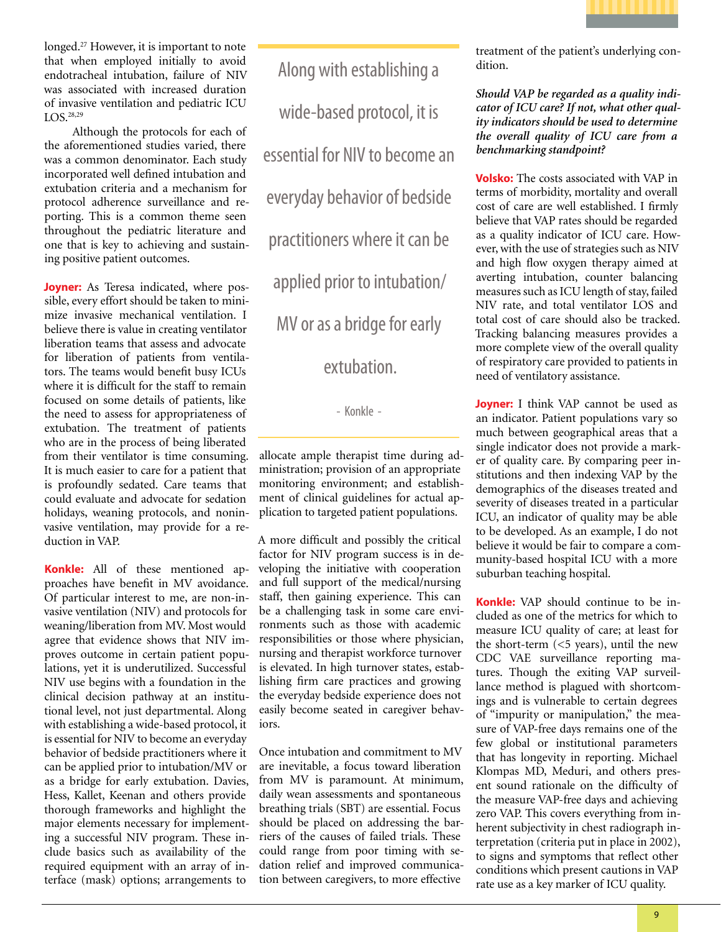

longed.<sup>27</sup> However, it is important to note that when employed initially to avoid endotracheal intubation, failure of NIV was associated with increased duration of invasive ventilation and pediatric ICU LOS.<sup>28,29</sup>

Although the protocols for each of the aforementioned studies varied, there was a common denominator. Each study incorporated well defined intubation and extubation criteria and a mechanism for protocol adherence surveillance and reporting. This is a common theme seen throughout the pediatric literature and one that is key to achieving and sustaining positive patient outcomes.

**Joyner:** As Teresa indicated, where possible, every effort should be taken to minimize invasive mechanical ventilation. I believe there is value in creating ventilator liberation teams that assess and advocate for liberation of patients from ventilators. The teams would benefit busy ICUs where it is difficult for the staff to remain focused on some details of patients, like the need to assess for appropriateness of extubation. The treatment of patients who are in the process of being liberated from their ventilator is time consuming. It is much easier to care for a patient that is profoundly sedated. Care teams that could evaluate and advocate for sedation holidays, weaning protocols, and noninvasive ventilation, may provide for a reduction in VAP.

**Konkle:** All of these mentioned approaches have benefit in MV avoidance. Of particular interest to me, are non-invasive ventilation (NIV) and protocols for weaning/liberation from MV. Most would agree that evidence shows that NIV improves outcome in certain patient populations, yet it is underutilized. Successful NIV use begins with a foundation in the clinical decision pathway at an institutional level, not just departmental. Along with establishing a wide-based protocol, it is essential for NIV to become an everyday behavior of bedside practitioners where it can be applied prior to intubation/MV or as a bridge for early extubation. Davies, Hess, Kallet, Keenan and others provide thorough frameworks and highlight the major elements necessary for implementing a successful NIV program. These include basics such as availability of the required equipment with an array of interface (mask) options; arrangements to

Along with establishing a wide-based protocol, it is essential for NIV to become an everyday behavior of bedside practitioners where it can be applied prior to intubation/ MV or as a bridge for early extubation.

- Konkle -

allocate ample therapist time during administration; provision of an appropriate monitoring environment; and establishment of clinical guidelines for actual application to targeted patient populations.

A more difficult and possibly the critical factor for NIV program success is in developing the initiative with cooperation and full support of the medical/nursing staff, then gaining experience. This can be a challenging task in some care environments such as those with academic responsibilities or those where physician, nursing and therapist workforce turnover is elevated. In high turnover states, establishing firm care practices and growing the everyday bedside experience does not easily become seated in caregiver behaviors.

Once intubation and commitment to MV are inevitable, a focus toward liberation from MV is paramount. At minimum, daily wean assessments and spontaneous breathing trials (SBT) are essential. Focus should be placed on addressing the barriers of the causes of failed trials. These could range from poor timing with sedation relief and improved communication between caregivers, to more effective

treatment of the patient's underlying condition.

*Should VAP be regarded as a quality indicator of ICU care? If not, what other quality indicators should be used to determine the overall quality of ICU care from a benchmarking standpoint?* 

**Volsko:** The costs associated with VAP in terms of morbidity, mortality and overall cost of care are well established. I firmly believe that VAP rates should be regarded as a quality indicator of ICU care. However, with the use of strategies such as NIV and high flow oxygen therapy aimed at averting intubation, counter balancing measures such as ICU length of stay, failed NIV rate, and total ventilator LOS and total cost of care should also be tracked. Tracking balancing measures provides a more complete view of the overall quality of respiratory care provided to patients in need of ventilatory assistance.

**Joyner:** I think VAP cannot be used as an indicator. Patient populations vary so much between geographical areas that a single indicator does not provide a marker of quality care. By comparing peer institutions and then indexing VAP by the demographics of the diseases treated and severity of diseases treated in a particular ICU, an indicator of quality may be able to be developed. As an example, I do not believe it would be fair to compare a community-based hospital ICU with a more suburban teaching hospital.

**Konkle:** VAP should continue to be included as one of the metrics for which to measure ICU quality of care; at least for the short-term  $(<5$  years), until the new CDC VAE surveillance reporting matures. Though the exiting VAP surveillance method is plagued with shortcomings and is vulnerable to certain degrees of "impurity or manipulation," the measure of VAP-free days remains one of the few global or institutional parameters that has longevity in reporting. Michael Klompas MD, Meduri, and others present sound rationale on the difficulty of the measure VAP-free days and achieving zero VAP. This covers everything from inherent subjectivity in chest radiograph interpretation (criteria put in place in 2002), to signs and symptoms that reflect other conditions which present cautions in VAP rate use as a key marker of ICU quality.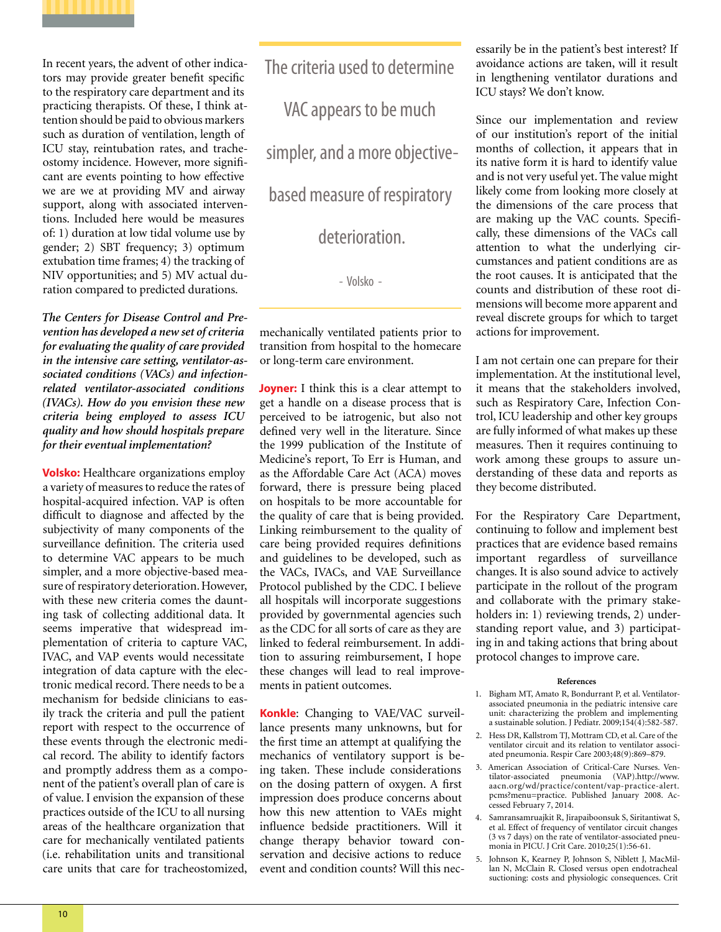

In recent years, the advent of other indicators may provide greater benefit specific to the respiratory care department and its practicing therapists. Of these, I think attention should be paid to obvious markers such as duration of ventilation, length of ICU stay, reintubation rates, and tracheostomy incidence. However, more significant are events pointing to how effective we are we at providing MV and airway support, along with associated interventions. Included here would be measures of: 1) duration at low tidal volume use by gender; 2) SBT frequency; 3) optimum extubation time frames; 4) the tracking of NIV opportunities; and 5) MV actual duration compared to predicted durations.

*The Centers for Disease Control and Prevention has developed a new set of criteria for evaluating the quality of care provided in the intensive care setting, ventilator-associated conditions (VACs) and infectionrelated ventilator-associated conditions (IVACs). How do you envision these new criteria being employed to assess ICU quality and how should hospitals prepare for their eventual implementation?*

**Volsko:** Healthcare organizations employ a variety of measures to reduce the rates of hospital-acquired infection. VAP is often difficult to diagnose and affected by the subjectivity of many components of the surveillance definition. The criteria used to determine VAC appears to be much simpler, and a more objective-based measure of respiratory deterioration. However, with these new criteria comes the daunting task of collecting additional data. It seems imperative that widespread implementation of criteria to capture VAC, IVAC, and VAP events would necessitate integration of data capture with the electronic medical record. There needs to be a mechanism for bedside clinicians to easily track the criteria and pull the patient report with respect to the occurrence of these events through the electronic medical record. The ability to identify factors and promptly address them as a component of the patient's overall plan of care is of value. I envision the expansion of these practices outside of the ICU to all nursing areas of the healthcare organization that care for mechanically ventilated patients (i.e. rehabilitation units and transitional care units that care for tracheostomized,

The criteria used to determine VAC appears to be much simpler, and a more objectivebased measure of respiratory deterioration.

- Volsko -

mechanically ventilated patients prior to transition from hospital to the homecare or long-term care environment.

**Joyner:** I think this is a clear attempt to get a handle on a disease process that is perceived to be iatrogenic, but also not defined very well in the literature. Since the 1999 publication of the Institute of Medicine's report, To Err is Human, and as the Affordable Care Act (ACA) moves forward, there is pressure being placed on hospitals to be more accountable for the quality of care that is being provided. Linking reimbursement to the quality of care being provided requires definitions and guidelines to be developed, such as the VACs, IVACs, and VAE Surveillance Protocol published by the CDC. I believe all hospitals will incorporate suggestions provided by governmental agencies such as the CDC for all sorts of care as they are linked to federal reimbursement. In addition to assuring reimbursement, I hope these changes will lead to real improvements in patient outcomes.

**Konkle**: Changing to VAE/VAC surveillance presents many unknowns, but for the first time an attempt at qualifying the mechanics of ventilatory support is being taken. These include considerations on the dosing pattern of oxygen. A first impression does produce concerns about how this new attention to VAEs might influence bedside practitioners. Will it change therapy behavior toward conservation and decisive actions to reduce event and condition counts? Will this necessarily be in the patient's best interest? If avoidance actions are taken, will it result in lengthening ventilator durations and ICU stays? We don't know.

Since our implementation and review of our institution's report of the initial months of collection, it appears that in its native form it is hard to identify value and is not very useful yet. The value might likely come from looking more closely at the dimensions of the care process that are making up the VAC counts. Specifically, these dimensions of the VACs call attention to what the underlying circumstances and patient conditions are as the root causes. It is anticipated that the counts and distribution of these root dimensions will become more apparent and reveal discrete groups for which to target actions for improvement.

I am not certain one can prepare for their implementation. At the institutional level, it means that the stakeholders involved, such as Respiratory Care, Infection Control, ICU leadership and other key groups are fully informed of what makes up these measures. Then it requires continuing to work among these groups to assure understanding of these data and reports as they become distributed.

For the Respiratory Care Department, continuing to follow and implement best practices that are evidence based remains important regardless of surveillance changes. It is also sound advice to actively participate in the rollout of the program and collaborate with the primary stakeholders in: 1) reviewing trends, 2) understanding report value, and 3) participating in and taking actions that bring about protocol changes to improve care.

#### **References**

- 1. Bigham MT, Amato R, Bondurrant P, et al. Ventilatorassociated pneumonia in the pediatric intensive care unit: characterizing the problem and implementing a sustainable solution. J Pediatr. 2009;154(4):582-587.
- 2. Hess DR, Kallstrom TJ, Mottram CD, et al. Care of the ventilator circuit and its relation to ventilator associated pneumonia. Respir Care 2003;48(9):869–879.
- 3. American Association of Critical-Care Nurses. Ventilator-associated pneumonia (VAP).http://www. aacn.org/wd/practice/content/vap-practice-alert. pcms?menu=practice. Published January 2008. Accessed February 7, 2014.
- 4. Samransamruajkit R, Jirapaiboonsuk S, Siritantiwat S, et al. Effect of frequency of ventilator circuit changes (3 vs 7 days) on the rate of ventilator-associated pneumonia in PICU. J Crit Care. 2010;25(1):56-61.
- 5. Johnson K, Kearney P, Johnson S, Niblett J, MacMillan N, McClain R. Closed versus open endotracheal suctioning: costs and physiologic consequences. Crit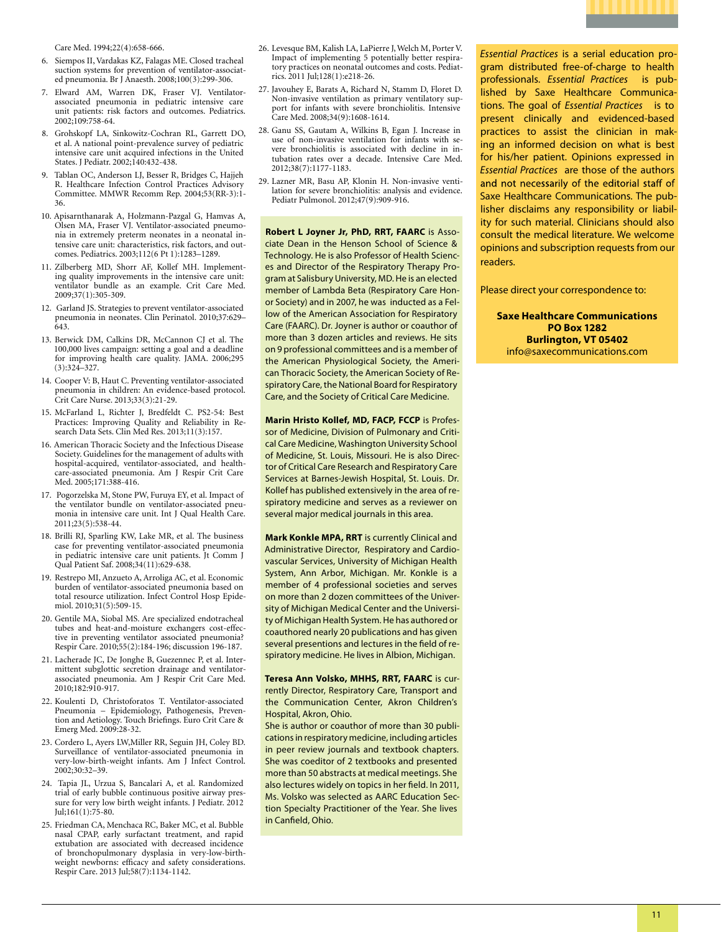Care Med. 1994;22(4):658-666.

- 6. Siempos II, Vardakas KZ, Falagas ME. Closed tracheal suction systems for prevention of ventilator-associated pneumonia. Br J Anaesth. 2008;100(3):299-306.
- 7. Elward AM, Warren DK, Fraser VJ. Ventilatorassociated pneumonia in pediatric intensive care unit patients: risk factors and outcomes. Pediatrics. 2002;109:758-64.
- 8. Grohskopf LA, Sinkowitz-Cochran RL, Garrett DO, et al. A national point-prevalence survey of pediatric intensive care unit acquired infections in the United States. J Pediatr. 2002;140:432-438.
- 9. Tablan OC, Anderson LJ, Besser R, Bridges C, Hajjeh R. Healthcare Infection Control Practices Advisory Committee. MMWR Recomm Rep. 2004;53(RR-3):1- 36.
- 10. Apisarnthanarak A, Holzmann-Pazgal G, Hamvas A, Olsen MA, Fraser VJ. Ventilator-associated pneumonia in extremely preterm neonates in a neonatal intensive care unit: characteristics, risk factors, and outcomes. Pediatrics. 2003;112(6 Pt 1):1283–1289.
- 11. Zilberberg MD, Shorr AF, Kollef MH. Implementing quality improvements in the intensive care unit: ventilator bundle as an example. Crit Care Med. 2009;37(1):305-309.
- 12. Garland JS. Strategies to prevent ventilator-associated pneumonia in neonates. Clin Perinatol. 2010;37:629– 643.
- 13. Berwick DM, Calkins DR, McCannon CJ et al. The 100,000 lives campaign: setting a goal and a deadline for improving health care quality. JAMA. 2006;295 (3):324–327.
- 14. Cooper V: B, Haut C. Preventing ventilator-associated pneumonia in children: An evidence-based protocol. Crit Care Nurse. 2013;33(3):21-29.
- 15. McFarland L, Richter J, Bredfeldt C. PS2-54: Best Practices: Improving Quality and Reliability in Research Data Sets. Clin Med Res. 2013;11(3):157.
- 16. American Thoracic Society and the Infectious Disease Society. Guidelines for the management of adults with hospital-acquired, ventilator-associated, and healthcare-associated pneumonia. Am J Respir Crit Care Med. 2005;171:388-416.
- 17. Pogorzelska M, Stone PW, Furuya EY, et al. Impact of the ventilator bundle on ventilator-associated pneumonia in intensive care unit. Int J Qual Health Care. 2011;23(5):538-44.
- 18. Brilli RJ, Sparling KW, Lake MR, et al. The business case for preventing ventilator-associated pneumonia in pediatric intensive care unit patients. Jt Comm J Qual Patient Saf. 2008;34(11):629-638.
- 19. Restrepo MI, Anzueto A, Arroliga AC, et al. Economic burden of ventilator-associated pneumonia based on total resource utilization. Infect Control Hosp Epidemiol. 2010;31(5):509-15.
- 20. Gentile MA, Siobal MS. Are specialized endotracheal tubes and heat-and-moisture exchangers cost-effective in preventing ventilator associated pneumonia? Respir Care. 2010;55(2):184-196; discussion 196-187.
- 21. Lacherade JC, De Jonghe B, Guezennec P, et al. Intermittent subglottic secretion drainage and ventilatorassociated pneumonia. Am J Respir Crit Care Med. 2010;182:910-917.
- 22. Koulenti D, Christoforatos T. Ventilator-associated Pneumonia – Epidemiology, Pathogenesis, Prevention and Aetiology. Touch Briefings. Euro Crit Care & Emerg Med. 2009:28-32.
- 23. Cordero L, Ayers LW,Miller RR, Seguin JH, Coley BD. Surveillance of ventilator-associated pneumonia in very-low-birth-weight infants. Am J Infect Control. 2002;30:32–39.
- 24. Tapia JL, Urzua S, Bancalari A, et al. Randomized trial of early bubble continuous positive airway pressure for very low birth weight infants. J Pediatr. 2012 Jul;161(1):75-80.
- 25. Friedman CA, Menchaca RC, Baker MC, et al. Bubble nasal CPAP, early surfactant treatment, and rapid extubation are associated with decreased incidence of bronchopulmonary dysplasia in very-low-birthweight newborns: efficacy and safety considerations. Respir Care. 2013 Jul;58(7):1134-1142.
- 26. Levesque BM, Kalish LA, LaPierre J, Welch M, Porter V. Impact of implementing 5 potentially better respiratory practices on neonatal outcomes and costs. Pediatrics. 2011 Jul;128(1):e218-26.
- 27. Javouhey E, Barats A, Richard N, Stamm D, Floret D. Non-invasive ventilation as primary ventilatory support for infants with severe bronchiolitis. Intensive Care Med. 2008;34(9):1608-1614.
- 28. Ganu SS, Gautam A, Wilkins B, Egan J. Increase in use of non-invasive ventilation for infants with severe bronchiolitis is associated with decline in intubation rates over a decade. Intensive Care Med. 2012;38(7):1177-1183.
- 29. Lazner MR, Basu AP, Klonin H. Non-invasive ventilation for severe bronchiolitis: analysis and evidence. Pediatr Pulmonol. 2012;47(9):909-916.

**Robert L Joyner Jr, PhD, RRT, FAARC** is Associate Dean in the Henson School of Science & Technology. He is also Professor of Health Sciences and Director of the Respiratory Therapy Program at Salisbury University, MD. He is an elected member of Lambda Beta (Respiratory Care Honor Society) and in 2007, he was inducted as a Fellow of the American Association for Respiratory Care (FAARC). Dr. Joyner is author or coauthor of more than 3 dozen articles and reviews. He sits on 9 professional committees and is a member of the American Physiological Society, the American Thoracic Society, the American Society of Respiratory Care, the National Board for Respiratory Care, and the Society of Critical Care Medicine.

**Marin Hristo Kollef, MD, FACP, FCCP** is Professor of Medicine, Division of Pulmonary and Critical Care Medicine, Washington University School of Medicine, St. Louis, Missouri. He is also Director of Critical Care Research and Respiratory Care Services at Barnes-Jewish Hospital, St. Louis. Dr. Kollef has published extensively in the area of respiratory medicine and serves as a reviewer on several major medical journals in this area.

**Mark Konkle MPA, RRT** is currently Clinical and Administrative Director, Respiratory and Cardiovascular Services, University of Michigan Health System, Ann Arbor, Michigan. Mr. Konkle is a member of 4 professional societies and serves on more than 2 dozen committees of the University of Michigan Medical Center and the University of Michigan Health System. He has authored or coauthored nearly 20 publications and has given several presentions and lectures in the field of respiratory medicine. He lives in Albion, Michigan.

**Teresa Ann Volsko, MHHS, RRT, FAARC** is currently Director, Respiratory Care, Transport and the Communication Center, Akron Children's Hospital, Akron, Ohio.

She is author or coauthor of more than 30 publications in respiratory medicine, including articles in peer review journals and textbook chapters. She was coeditor of 2 textbooks and presented more than 50 abstracts at medical meetings. She also lectures widely on topics in her field. In 2011, Ms. Volsko was selected as AARC Education Section Specialty Practitioner of the Year. She lives in Canfield, Ohio.

*Essential Practices* is a serial education program distributed free-of-charge to health professionals. *Essential Practices* is published by Saxe Healthcare Communications. The goal of *Essential Practices* is to present clinically and evidenced-based practices to assist the clinician in making an informed decision on what is best for his/her patient. Opinions expressed in *Essential Practices* are those of the authors and not necessarily of the editorial staff of Saxe Healthcare Communications. The publisher disclaims any responsibility or liability for such material. Clinicians should also consult the medical literature. We welcome opinions and subscription requests from our readers.

Please direct your correspondence to:

**Saxe Healthcare Communications PO Box 1282 Burlington, VT 05402** info@saxecommunications.com